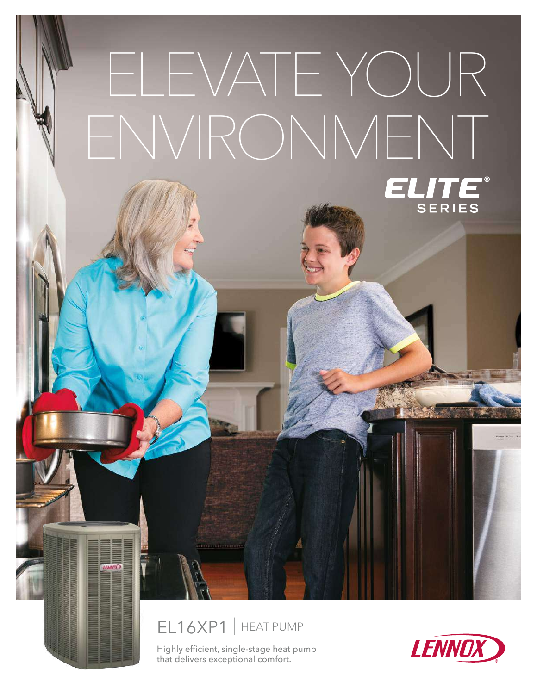

Highly efficient, single-stage heat pump that delivers exceptional comfort.

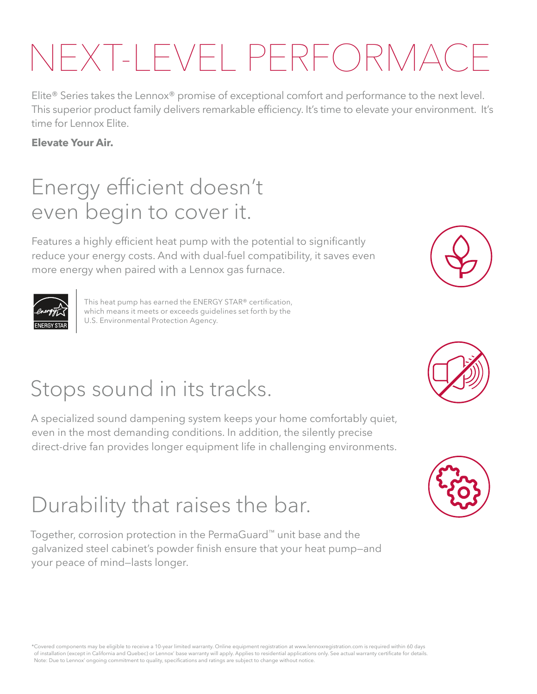# NEXT-LEVEL PERFORMAC

Elite® Series takes the Lennox® promise of exceptional comfort and performance to the next level. This superior product family delivers remarkable efficiency. It's time to elevate your environment. It's time for Lennox Elite.

#### **Elevate Your Air.**

### Energy efficient doesn't even begin to cover it.

Features a highly efficient heat pump with the potential to significantly reduce your energy costs. And with dual-fuel compatibility, it saves even more energy when paired with a Lennox gas furnace.



This heat pump has earned the ENERGY STAR® certification, which means it meets or exceeds guidelines set forth by the U.S. Environmental Protection Agency.

## Stops sound in its tracks.

A specialized sound dampening system keeps your home comfortably quiet, even in the most demanding conditions. In addition, the silently precise direct-drive fan provides longer equipment life in challenging environments.

### Durability that raises the bar.

Together, corrosion protection in the PermaGuard™ unit base and the galvanized steel cabinet's powder finish ensure that your heat pump—and your peace of mind—lasts longer.







\*Covered components may be eligible to receive a 10-year limited warranty. Online equipment registration at www.lennoxregistration.com is required within 60 days of installation (except in California and Quebec) or Lennox' base warranty will apply. Applies to residential applications only. See actual warranty certificate for details. Note: Due to Lennox' ongoing commitment to quality, specifications and ratings are subject to change without notice.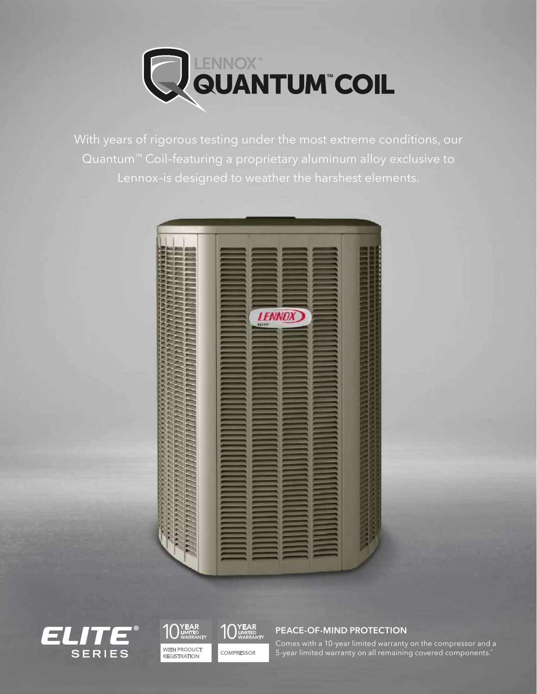

With years of rigorous testing under the most extreme conditions, our Quantum<sup>™</sup> Coil-featuring a proprietary aluminum alloy exclusive to









PEACE-OF-MIND PROTECTION

Comes with a 10-year limited warranty on the compressor and a 5-year limited warranty on all remaining covered components.\*